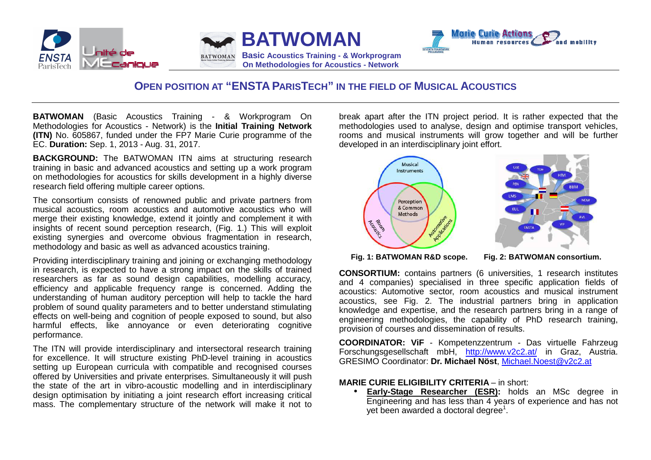





## **OPEN POSITION AT "ENSTAPARISTECH" IN THE FIELD OF MUSICAL ACOUSTICS**

**BATWOMAN** (Basic Acoustics Training - & Workprogram On Methodologies for Acoustics - Network) is the **Initial Training Network (ITN)** No. 605867, funded under the FP7 Marie Curie programme of the EC. **Duration:** Sep. 1, 2013 - Aug. 31, 2017.

**BACKGROUND:** The BATWOMAN ITN aims at structuring research training in basic and advanced acoustics and setting up a work program on methodologies for acoustics for skills development in a highly diverse research field offering multiple career options.

The consortium consists of renowned public and private partners from musical acoustics, room acoustics and automotive acoustics who will merge their existing knowledge, extend it jointly and complement it with insights of recent sound perception research, (Fig. 1.) This will exploit existing synergies and overcome obvious fragmentation in research, methodology and basic as well as advanced acoustics training.

Providing interdisciplinary training and joining or exchanging methodology in research, is expected to have a strong impact on the skills of trained researchers as far as sound design capabilities, modelling accuracy, efficiency and applicable frequency range is concerned. Adding the understanding of human auditory perception will help to tackle the hard problem of sound quality parameters and to better understand stimulating effects on well-being and cognition of people exposed to sound, but also harmful effects, like annoyance or even deteriorating cognitive performance.

The ITN will provide interdisciplinary and intersectoral research training for excellence. It will structure existing PhD-level training in acoustics setting up European curricula with compatible and recognised courses offered by Universities and private enterprises. Simultaneously it will push the state of the art in vibro-acoustic modelling and in interdisciplinary design optimisation by initiating a joint research effort increasing critical mass. The complementary structure of the network will make it not to break apart after the ITN project period. It is rather expected that the methodologies used to analyse, design and optimise transport vehicles, rooms and musical instruments will grow together and will be further developed in an interdisciplinary joint effort.



**Fig. 1: BATWOMAN R&D scope. Fig. 2: BATWOMAN consortium.** 

**CONSORTIUM:** contains partners (6 universities, 1 research institutes and 4 companies) specialised in three specific application fields of acoustics: Automotive sector, room acoustics and musical instrument acoustics, see Fig. 2. The industrial partners bring in application knowledge and expertise, and the research partners bring in a range of engineering methodologies, the capability of PhD research training, provision of courses and dissemination of results.

**COORDINATOR: ViF** - Kompetenzzentrum - Das virtuelle Fahrzeug Forschungsgesellschaft mbH, <u>http://www.v2c2.at/</u> in Graz, Austria. GRESIMO Coordinator: **Dr. Michael Nöst**, Michael.Noest@v2c2.at

## **MARIE CURIE ELIGIBILITY CRITERIA** – in short:

 • **Early-Stage Researcher (ESR):** holds an MSc degree in Engineering and has less than 4 years of experience and has not yet been awarded a doctoral degree<sup>1</sup>.